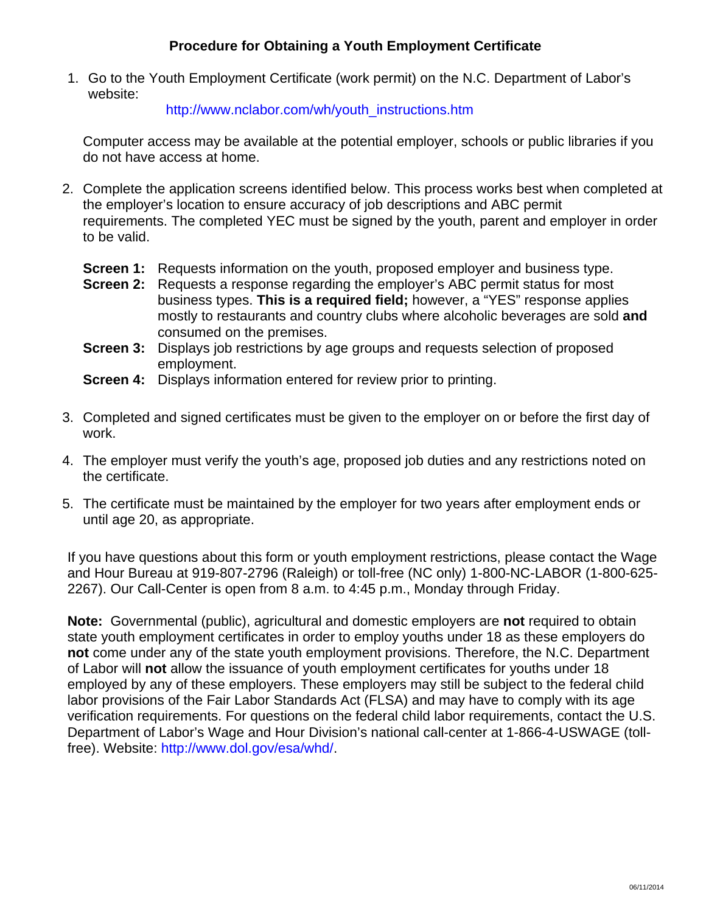## **Procedure for Obtaining a Youth Employment Certificate**

1. Go to the Youth Employment Certificate (work permit) on the N.C. Department of Labor's website:

http://www.nclabor.com/wh/youth\_instructions.htm

Computer access may be available at the potential employer, schools or public libraries if you do not have access at home.

- 2. Complete the application screens identified below. This process works best when completed at the employer's location to ensure accuracy of job descriptions and ABC permit requirements. The completed YEC must be signed by the youth, parent and employer in order to be valid.
	- **Screen 1:** Requests information on the youth, proposed employer and business type.
	- **Screen 2:** Requests a response regarding the employer's ABC permit status for most business types. **This is a required field;** however, a "YES" response applies mostly to restaurants and country clubs where alcoholic beverages are sold **and** consumed on the premises.
	- **Screen 3:** Displays job restrictions by age groups and requests selection of proposed employment.
	- **Screen 4:** Displays information entered for review prior to printing.
- 3. Completed and signed certificates must be given to the employer on or before the first day of work.
- 4. The employer must verify the youth's age, proposed job duties and any restrictions noted on the certificate.
- 5. The certificate must be maintained by the employer for two years after employment ends or until age 20, as appropriate.

If you have questions about this form or youth employment restrictions, please contact the Wage and Hour Bureau at 919-807-2796 (Raleigh) or toll-free (NC only) 1-800-NC-LABOR (1-800-625- 2267). Our Call-Center is open from 8 a.m. to 4:45 p.m., Monday through Friday.

**Note:** Governmental (public), agricultural and domestic employers are **not** required to obtain state youth employment certificates in order to employ youths under 18 as these employers do **not** come under any of the state youth employment provisions. Therefore, the N.C. Department of Labor will **not** allow the issuance of youth employment certificates for youths under 18 employed by any of these employers. These employers may still be subject to the federal child labor provisions of the Fair Labor Standards Act (FLSA) and may have to comply with its age verification requirements. For questions on the federal child labor requirements, contact the U.S. Department of Labor's Wage and Hour Division's national call-center at 1-866-4-USWAGE (tollfree). Website: http://www.dol.gov/esa/whd/.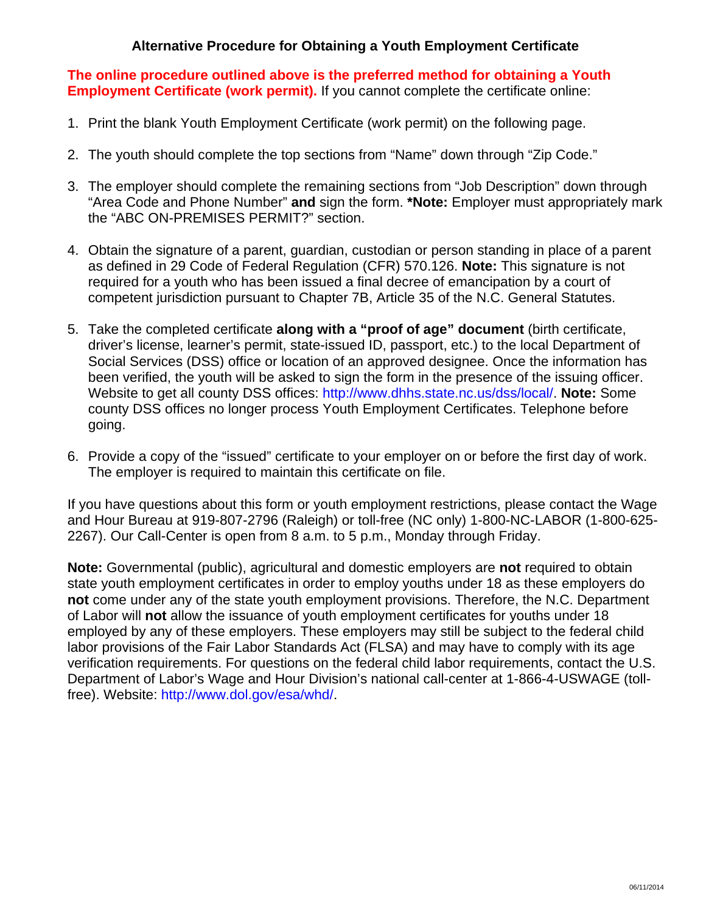## **Alternative Procedure for Obtaining a Youth Employment Certificate**

**The online procedure outlined above is the preferred method for obtaining a Youth Employment Certificate (work permit).** If you cannot complete the certificate online:

- 1. Print the blank Youth Employment Certificate (work permit) on the following page.
- 2. The youth should complete the top sections from "Name" down through "Zip Code."
- 3. The employer should complete the remaining sections from "Job Description" down through "Area Code and Phone Number" **and** sign the form. **\*Note:** Employer must appropriately mark the "ABC ON-PREMISES PERMIT?" section.
- 4. Obtain the signature of a parent, guardian, custodian or person standing in place of a parent as defined in 29 Code of Federal Regulation (CFR) 570.126. **Note:** This signature is not required for a youth who has been issued a final decree of emancipation by a court of competent jurisdiction pursuant to Chapter 7B, Article 35 of the N.C. General Statutes.
- 5. Take the completed certificate **along with a "proof of age" document** (birth certificate, driver's license, learner's permit, state-issued ID, passport, etc.) to the local Department of Social Services (DSS) office or location of an approved designee. Once the information has been verified, the youth will be asked to sign the form in the presence of the issuing officer. Website to get all county DSS offices: http://www.dhhs.state.nc.us/dss/local/. **Note:** Some county DSS offices no longer process Youth Employment Certificates. Telephone before going.
- 6. Provide a copy of the "issued" certificate to your employer on or before the first day of work. The employer is required to maintain this certificate on file.

If you have questions about this form or youth employment restrictions, please contact the Wage and Hour Bureau at 919-807-2796 (Raleigh) or toll-free (NC only) 1-800-NC-LABOR (1-800-625- 2267). Our Call-Center is open from 8 a.m. to 5 p.m., Monday through Friday.

**Note:** Governmental (public), agricultural and domestic employers are **not** required to obtain state youth employment certificates in order to employ youths under 18 as these employers do **not** come under any of the state youth employment provisions. Therefore, the N.C. Department of Labor will **not** allow the issuance of youth employment certificates for youths under 18 employed by any of these employers. These employers may still be subject to the federal child labor provisions of the Fair Labor Standards Act (FLSA) and may have to comply with its age verification requirements. For questions on the federal child labor requirements, contact the U.S. Department of Labor's Wage and Hour Division's national call-center at 1-866-4-USWAGE (tollfree). Website: http://www.dol.gov/esa/whd/.